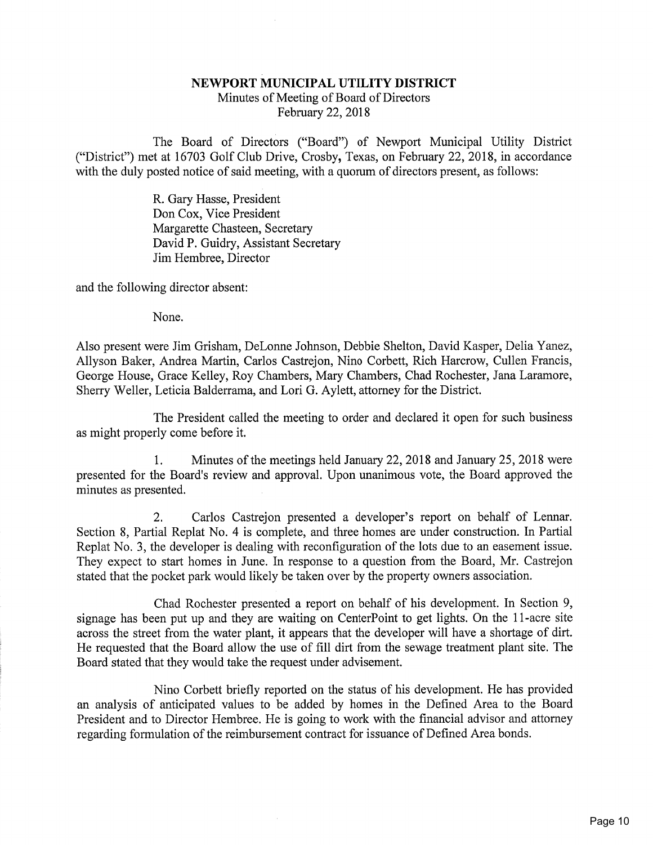## NEWPORT MUNICIPAL UTILITY DISTRICT

Minutes of Meeting of Board of DirectorsFebruary 22, 2018

The Board of Directors ("Board") of Newport Municipal Utility District ("District") met at 16703 Golf Club Drive, Crosby, Texas, on Febmary 22, 2018, in accordancewith the duly posted notice of said meeting, with a quorum of directors present, as follows:

> R. Gary Hasse, President Don Cox, Vice President Margarette Chasteen, Secretary David P. Guidry, Assistant SecretaryJim Hembree, Director

and the following director absent:

None.

Also present were Jim Grisham, DeLonne Johnson, Debbie Shelton, David Kasper, Delia Yanez, Allyson Baker, Andrea Martin, Carlos Castrejon, Nino Corbett, Rich Harcrow, Cullen Francis, George House, Grace Kelley, Roy Chambers, Mary Chambers, Chad Rochester, Jana Laramore,Sherry Weller, Leticia Balderrama, and Lori G. Aylett, attorney for the District.

The President called the meeting to order and declared it open for such businessas might properly come before it.

1. Minutes of the meetings held January 22, 2018 and January 25, 2018 werepresented for the Board's review and approval. Upon unanimous vote, the Board approved th minutes as presented.

2. Carlos Castrejon presented a developer's report on behalf of Lennar. Section 8, Partial Replat No. 4 is complete, and three homes are under construction. In Partial Replat No. 3, the developer is dealing with reconfiguration of the lots due to an easement issue. They expect to start homes in June. In response to a question from the Board, Mr. Castrejonstated that the pocket park would likely be taken over by the property owners association.

Chad Rochester presented a report on behalf of his development. In Section 9, signage has been put up and they are waiting on CenterPoint to get lights. On the 11-acre site across the street from the water plant, it appears that the developer will have a shortage of dirt. He requested that the Board allow the use of fill dirt from the sewage treatment plant site. TheBoard stated that they would take the request under advisement.

Nino Corbett briefly reported on the status of his development. He has provided an analysis of anticipated values to be added by homes in the Defined Area to the Board President and to Director Hembree. He is going to work with the financial advisor and attorneyregarding formulation of the reimbursement contract for issuance of Defined Area bonds.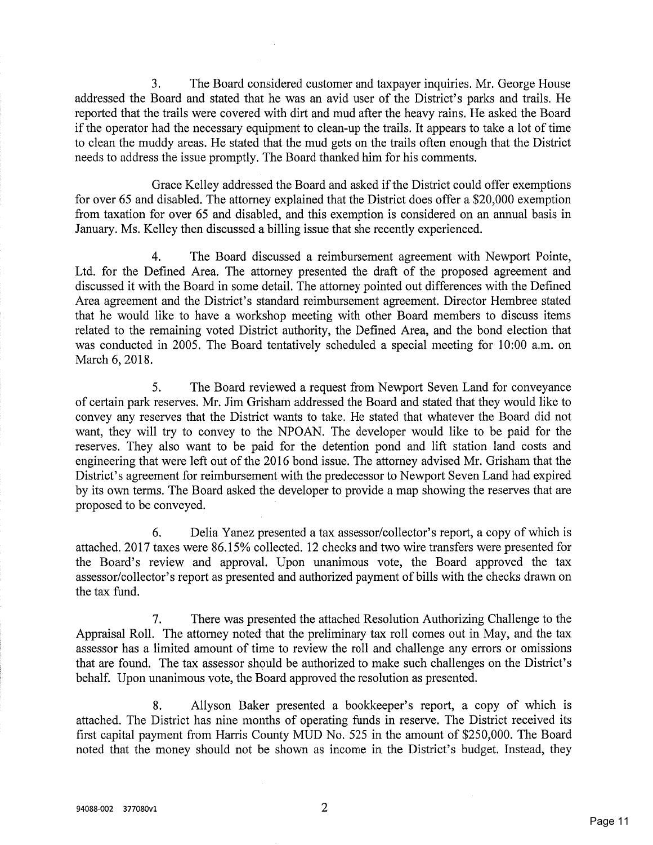3. The Board considered customer and taxpayer inquiries. Mr. George House addressed the Board and stated that he was an avid user of the District's parks and trails. Hereported that the trails were covered with dirt and mud after the heavy rains. He asked the Board if the operator had the necessary equipment to clean-up the trails. It appears to take a lot of time to clean the muddy areas. He stated that the mud gets on the trails often enough that the Districtneeds to address the issue promptly. The Board thanked him for his comments.

Grace Kelley addressed the Board and asked if the District could offer exemptions for over 65 and disabled. The attorney explained that the District does offer a \$20,000 exemption from taxation for over 65 and disabled, and this exemption is considered on an annual basis inJanuary. Ms. Kelley then discussed a billing issue that she recently experienced.

4. The Board discussed a reimbursement agreement with Newport Pointe,Ltd. for the Defined Area. The attorney presented the draft of the proposed agreement and discussed it with the Board in some detail. The attorney pointed out differences with the Define Area agreement and the District's standard reimbursement agreement. Director Hembree stated that he would like to have a workshop meeting with other Board members to discuss itemsrelated to the remaining voted District authority, the Defined Area, and the bond election tha was conducted in 2005. The Board tentatively scheduled a special meeting for 10:00 a.m. onMarch 6, 2018.

5. The Board reviewed a request from Newport Seven Land for conveyanceof certain park reserves. Mr. Jim Grisham addressed the Board and stated that they would like to convey any reserves that the District wants to take. He stated that whatever the Board did no want, they will try to convey to the NPOAN. The developer would like to be paid for the reserves. They also want to be paid for the detention pond and lift station land costs and engineering that were left out of the 2016 bond issue. The attorney advised Mr. Grisham that the District's agreement for reimbursement with the predecessor to Newport Seven Land had expired by its own terms. The Board asked the developer to provide a map showing the reserves that areproposed to be conveyed.

6. Delia Yanez presented a tax assessor/collector's report, a copy of which is attached. 2017 taxes were 86.15% collected. 12 checks and two wire transfers were presented for the Board's review and approval. Upon unanimous vote, the Board approved the taxassessor/collector's report as presented and authorized payment of bills with the checks drawn on the tax fund.

7. There was presented the attached Resolution Authorizing Challenge to the Appraisal Roll. The attorney noted that the preliminary tax roll comes out in May, and the tax assessor has a limited amount of time to review the roll and challenge any errors or omissions that are found. The tax assessor should be authorized to make such challenges on the District'sbehalf. Upon unanimous vote, the Board approved the resolution as presented.

8. Allyson Baker presented a bookkeeper's report, a copy of which is attached. The District has nine months of operating funds in reserve. The District received its first capital payment from Harris County MUD No. 525 in the amount of \$250,000. The Boardnoted that the money should not be shown as income in the District's budget. Instead, they

 $\overline{2}$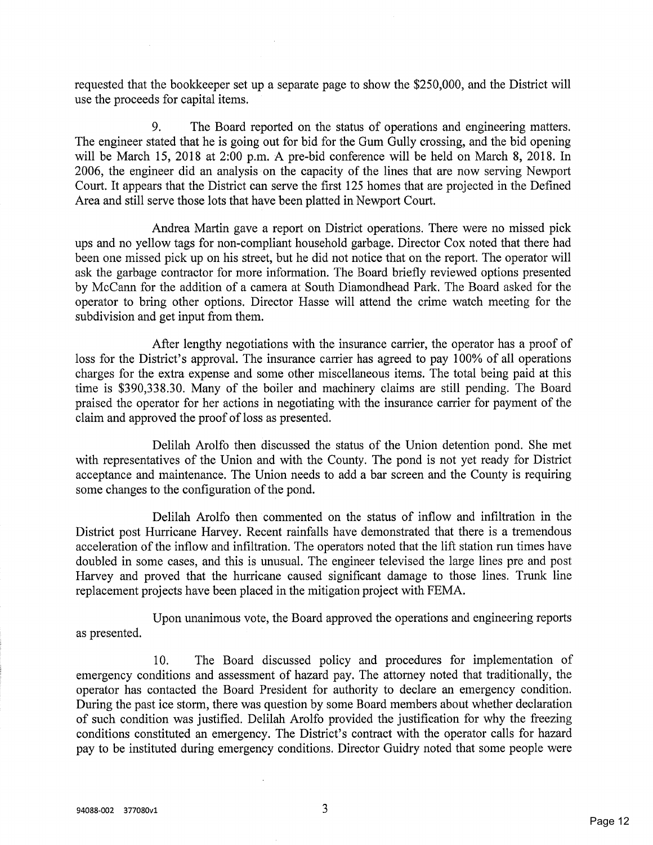requested that the bookkeeper set up a separate page to show the \$250,000, and the District willuse the proceeds for capital items.

9. The Board reported on the status of operations and engineering matters. The engineer stated that he is going out for bid for the Gum Gully crossing, and the bid openingwill be March 15, 2018 at 2:00 p.m. A pre-bid conference will be held on March 8, 2018. In 2006, the engineer did an analysis on the capacity of the lines that are now serving Newport Court. It appears that the District can serve the first 125 homes that are projected in the DefinedArea and still serve those lots that have been platted in Newport Court.

Andrea Martin gave a report on District operations. There were no missed pickups and no yellow tags for non-compliant household garbage. Director Cox noted that there had been one missed pick up on his street, but he did not notice that on the report. The operator willask the garbage contractor for more information. The Board briefly reviewed options presented by McCann for the addition of a camera at South Diamondhead Park. The Board asked for th operator to bring other options. Director Hasse will attend the crime watch meeting for thesubdivision and get input from them.

After lengthy negotiations with the insurance carrier, the operator has a proof of loss for the District's approval. The insurance carrier has agreed to pay 100% of all operations charges for the extra expense and some other miscellaneous items. The total being paid at thistime is \$390,338.30. Many of the boiler and machinery claims are still pending. The Board praised the operator for her actions in negotiating with the insurance carrier for payment of theclaim and approved the proof of loss as presented.

Delilah Arolfo then discussed the status of the Union detention pond. She met with representatives of the Union and with the County. The pond is not yet ready for District acceptance and maintenance. The Union needs to add a bar screen and the County is requiringsome changes to the configuration of the pond.

Delilah Arolfo then commented on the status of inflow and infiltration in the District post Hurricane Harvey. Recent rainfalls have demonstrated that there is a tremendousacceleration of the inflow and infiltration. The operators noted that the lift station run times hav doubled in some cases, and this is unusual. The engineer televised the large lines pre and pos Harvey and proved that the hurricane caused significant damage to those lines. Trunk linereplacement projects have been placed in the mitigation project with FEMA.

Upon unanimous vote, the Board approved the operations and engineering reportsas presented.

10. The Board discussed policy and procedures for implementation of emergency conditions and assessment of hazard pay. The attorney noted that traditionally, the operator has contacted the Board President for authority to declare an emergency condition. During the past ice storm, there was question by some Board members about whether declaration of such condition was justified. Delilah Arolfo provided the justification for why the freezingconditions constituted an emergency. The District's contract with the operator calls for hazard pay to be instituted during emergency conditions. Director Guidry noted that some people were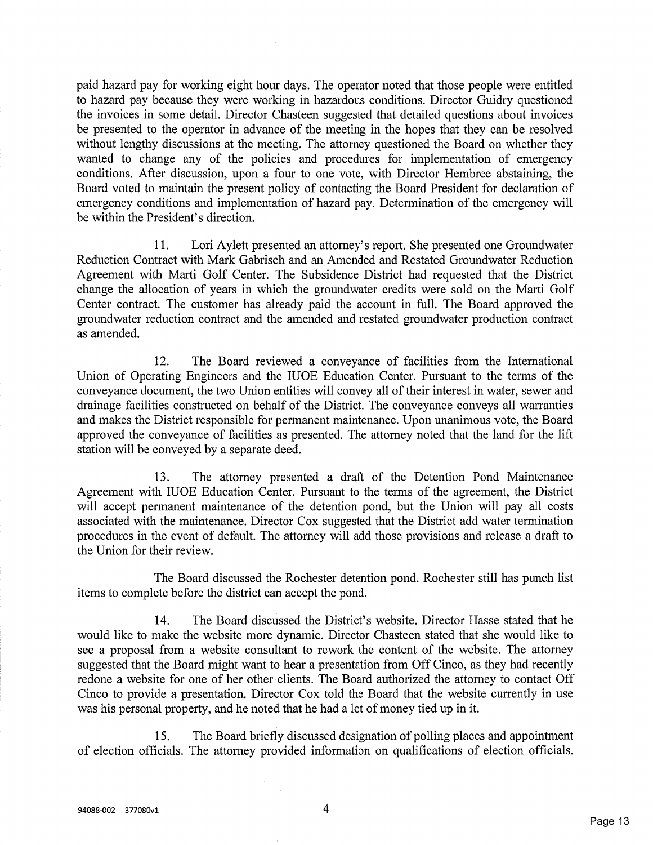paid hazard pay for working eight hour days. The operator noted that those people were entitled to hazard pay because they were working in hazardous conditions. Director Guidry questioned the invoices in some detail. Director Chasteen suggested that detailed questions about invoices be presented to the operator in advance of the meeting in the hopes that they can be resolved without lengthy discussions at the meeting. The attorney questioned the Board on whether they wanted to change any of the policies and procedures for implementation of emergency conditions. After discussion, upon a four to one vote, with Director Hembree abstaining, theBoard voted to maintain the present policy of contacting the Board President for declaration of emergency conditions and implementation of hazard pay. Determination of the emergency willbe within the President's direction.

11. Lori Aylett presented an attorney's report. She presented one Groundwater Reduction Contract with Mark Gabrisch and an Amended and Restated Groundwater Reduction Agreement with Marti Golf Center. The Subsidence District had requested that the District change the allocation of years in which the groundwater credits were sold on the Marti Golf Center contract. The customer has already paid the account in full. The Board approved the groundwater reduction contract and the amended and restated groundwater production contractas amended.

12. The Board reviewed a conveyance of facilities from the International Union of Operating Engineers and the IUOE Education Center. Pursuant to the terms of the conveyance document, the two Union entities will convey all of their interest in water, sewer and drainage facilities constructed on behalf of the District. The conveyance conveys all warranties and makes the District responsible for permanent maintenance. Upon unanimous vote, the Board approved the conveyance of facilities as presented. The attorney noted that the land for the liftstation will be conveyed by a separate deed.

13. The attorney presented a draft of the Detention Pond MaintenanceAgreement with IUOE Education Center. Pursuant to the terms of the agreement, the Distric will accept permanent maintenance of the detention pond, but the Union will pay all costs associated with the maintenance. Director Cox suggested that the District add water termination procedures in the event of default. The attorney will add those provisions and release a draft tothe Union for their review.

The Board discussed the Rochester detention pond. Rochester still has punch listitems to complete before the district can accept the pond.

14. The Board discussed the District's website. Director Hasse stated that he would like to make the website more dynamic. Director Chasteen stated that she would like to see a proposal from a website consultant to rework the content of the website. The attorneysuggested that the Board might want to hear a presentation from Off Cinco, as they had recentl redone a website for one of her other clients. The Board authorized the attorney to contact Off Cinco to provide a presentation. Director Cox told the Board that the website currently in usewas his personal property, and he noted that he had a lot of money tied up in it.

15. The Board briefly discussed designation of polling places and appointmentof election officials. The attorney provided information on qualifications of election officials.